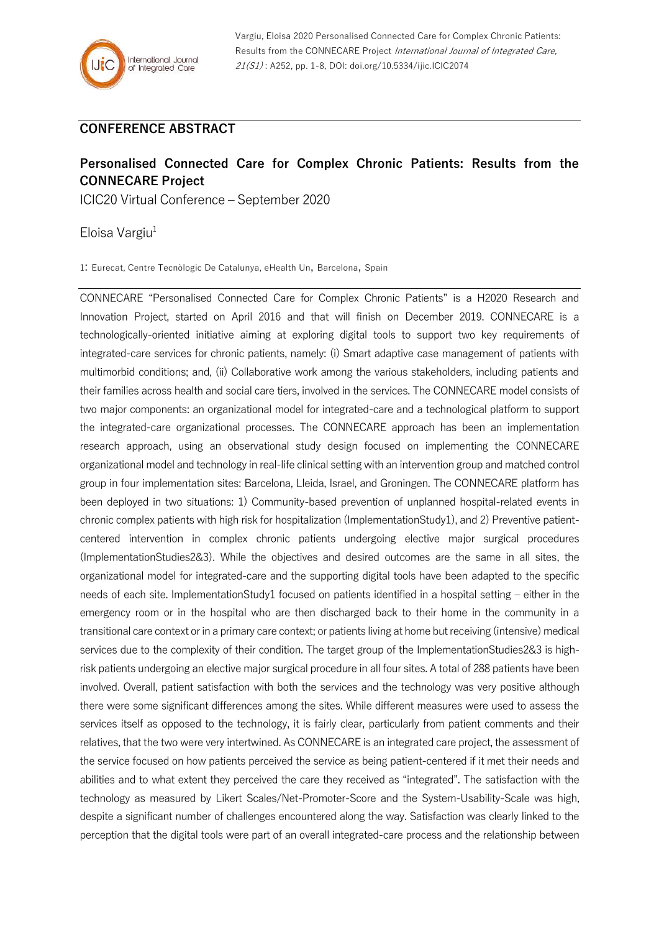## **CONFERENCE ABSTRACT**

## **Personalised Connected Care for Complex Chronic Patients: Results from the CONNECARE Project**

ICIC20 Virtual Conference – September 2020

Eloisa Vargiu $1$ 

1: Eurecat, Centre Tecnòlogic De Catalunya, eHealth Un, Barcelona, Spain

CONNECARE "Personalised Connected Care for Complex Chronic Patients" is a H2020 Research and Innovation Project, started on April 2016 and that will finish on December 2019. CONNECARE is a technologically-oriented initiative aiming at exploring digital tools to support two key requirements of integrated-care services for chronic patients, namely: (i) Smart adaptive case management of patients with multimorbid conditions; and, (ii) Collaborative work among the various stakeholders, including patients and their families across health and social care tiers, involved in the services. The CONNECARE model consists of two major components: an organizational model for integrated-care and a technological platform to support the integrated-care organizational processes. The CONNECARE approach has been an implementation research approach, using an observational study design focused on implementing the CONNECARE organizational model and technology in real-life clinical setting with an intervention group and matched control group in four implementation sites: Barcelona, Lleida, Israel, and Groningen. The CONNECARE platform has been deployed in two situations: 1) Community-based prevention of unplanned hospital-related events in chronic complex patients with high risk for hospitalization (ImplementationStudy1), and 2) Preventive patientcentered intervention in complex chronic patients undergoing elective major surgical procedures (ImplementationStudies2&3). While the objectives and desired outcomes are the same in all sites, the organizational model for integrated-care and the supporting digital tools have been adapted to the specific needs of each site. ImplementationStudy1 focused on patients identified in a hospital setting – either in the emergency room or in the hospital who are then discharged back to their home in the community in a transitional care context or in a primary care context; or patients living at home but receiving (intensive) medical services due to the complexity of their condition. The target group of the ImplementationStudies2&3 is highrisk patients undergoing an elective major surgical procedure in all four sites. A total of 288 patients have been involved. Overall, patient satisfaction with both the services and the technology was very positive although there were some significant differences among the sites. While different measures were used to assess the services itself as opposed to the technology, it is fairly clear, particularly from patient comments and their relatives, that the two were very intertwined. As CONNECARE is an integrated care project, the assessment of the service focused on how patients perceived the service as being patient-centered if it met their needs and abilities and to what extent they perceived the care they received as "integrated". The satisfaction with the technology as measured by Likert Scales/Net-Promoter-Score and the System-Usability-Scale was high, despite a significant number of challenges encountered along the way. Satisfaction was clearly linked to the perception that the digital tools were part of an overall integrated-care process and the relationship between